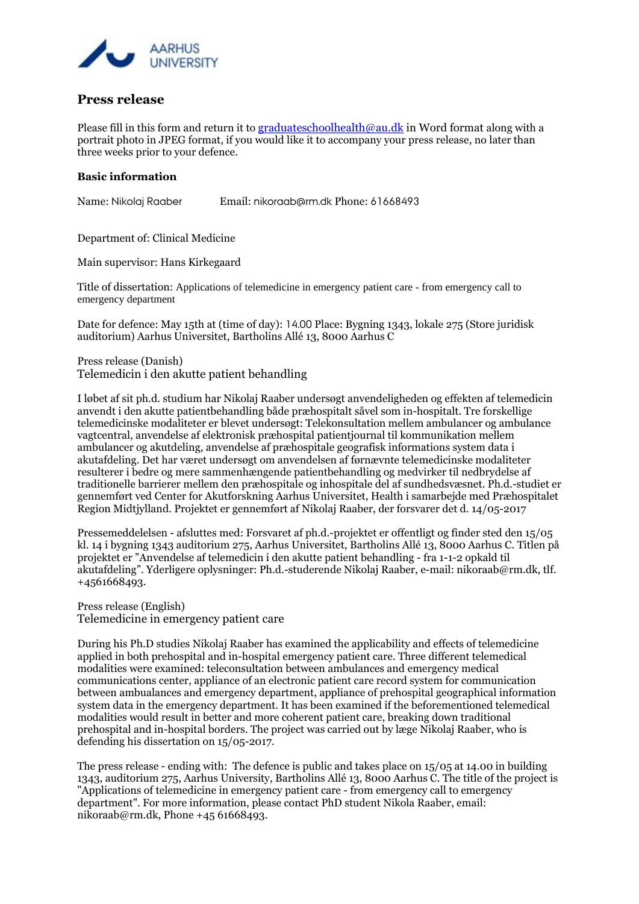

## **Press release**

Please fill in this form and return it to [graduateschoolhealth@au.dk](mailto:graduateschoolhealth@au.dk) in Word format along with a portrait photo in JPEG format, if you would like it to accompany your press release, no later than three weeks prior to your defence.

## **Basic information**

Name: Nikolaj Raaber Email: nikoraab@rm.dk Phone: 61668493

Department of: Clinical Medicine

Main supervisor: Hans Kirkegaard

Title of dissertation: Applications of telemedicine in emergency patient care - from emergency call to emergency department

Date for defence: May 15th at (time of day): 14.00 Place: Bygning 1343, lokale 275 (Store juridisk auditorium) Aarhus Universitet, Bartholins Allé 13, 8000 Aarhus C

Press release (Danish) Telemedicin i den akutte patient behandling

I løbet af sit ph.d. studium har Nikolaj Raaber undersøgt anvendeligheden og effekten af telemedicin anvendt i den akutte patientbehandling både præhospitalt såvel som in-hospitalt. Tre forskellige telemedicinske modaliteter er blevet undersøgt: Telekonsultation mellem ambulancer og ambulance vagtcentral, anvendelse af elektronisk præhospital patientjournal til kommunikation mellem ambulancer og akutdeling, anvendelse af præhospitale geografisk informations system data i akutafdeling. Det har været undersøgt om anvendelsen af førnævnte telemedicinske modaliteter resulterer i bedre og mere sammenhængende patientbehandling og medvirker til nedbrydelse af traditionelle barrierer mellem den præhospitale og inhospitale del af sundhedsvæsnet. Ph.d.-studiet er gennemført ved Center for Akutforskning Aarhus Universitet, Health i samarbejde med Præhospitalet Region Midtjylland. Projektet er gennemført af Nikolaj Raaber, der forsvarer det d. 14/05-2017

Pressemeddelelsen - afsluttes med: Forsvaret af ph.d.-projektet er offentligt og finder sted den 15/05 kl. 14 i bygning 1343 auditorium 275, Aarhus Universitet, Bartholins Allé 13, 8000 Aarhus C. Titlen på projektet er "Anvendelse af telemedicin i den akutte patient behandling - fra 1-1-2 opkald til akutafdeling". Yderligere oplysninger: Ph.d.-studerende Nikolaj Raaber, e-mail: nikoraab@rm.dk, tlf. +4561668493.

Press release (English) Telemedicine in emergency patient care

During his Ph.D studies Nikolaj Raaber has examined the applicability and effects of telemedicine applied in both prehospital and in-hospital emergency patient care. Three different telemedical modalities were examined: teleconsultation between ambulances and emergency medical communications center, appliance of an electronic patient care record system for communication between ambualances and emergency department, appliance of prehospital geographical information system data in the emergency department. It has been examined if the beforementioned telemedical modalities would result in better and more coherent patient care, breaking down traditional prehospital and in-hospital borders. The project was carried out by læge Nikolaj Raaber, who is defending his dissertation on 15/05-2017.

The press release - ending with: The defence is public and takes place on 15/05 at 14.00 in building 1343, auditorium 275, Aarhus University, Bartholins Allé 13, 8000 Aarhus C. The title of the project is "Applications of telemedicine in emergency patient care - from emergency call to emergency department". For more information, please contact PhD student Nikola Raaber, email: nikoraab@rm.dk, Phone +45 61668493.